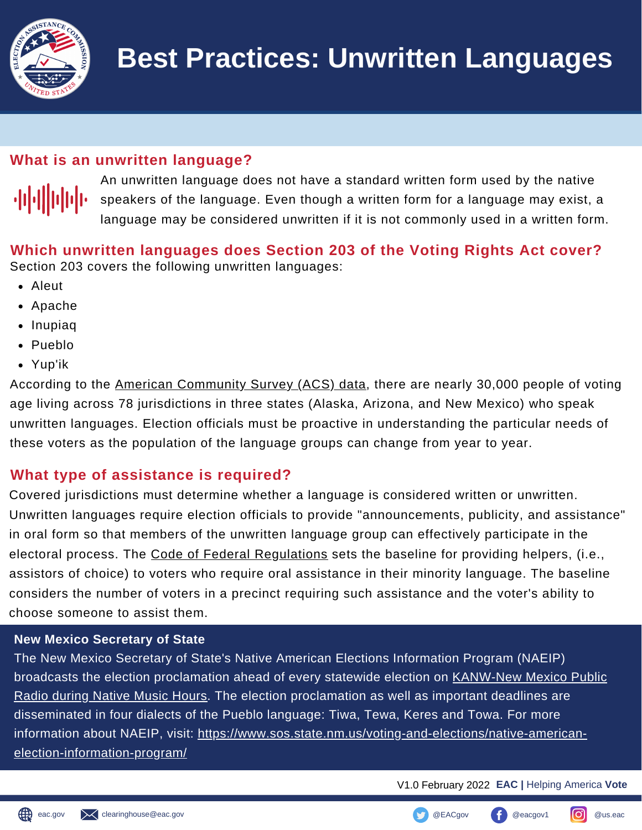

# **What is an unwritten language?**



 An unwritten language does not have a standard written form used by the native speakers of the language. Even though a written form for a language may exist, a language may be considered unwritten if it is not commonly used in a written form.

 **Which unwritten languages does Section 203 of the Voting Rights Act cover?** Section 203 covers the following unwritten languages:

- Aleut
- Apache
- Inupiaq
- Pueblo
- Yup'ik

According to the <u>American [Community](https://www.census.gov/data/datasets/2021/dec/rdo/section-203-determinations.html) Survey (ACS) data</u>, there are nearly 30,000 people of voting age living across 78 jurisdictions in three states (Alaska, Arizona, and New Mexico) who speak unwritten languages. Election officials must be proactive in understanding the particular needs of these voters as the population of the language groups can change from year to year.

# **What type of assistance is required?**

 Covered jurisdictions must determine whether a language is considered written or unwritten. Unwritten languages require election officials to provide "announcements, publicity, and assistance" in oral form so that members of the unwritten language group can effectively participate in the electoral process. The <u>Code of Federal [Regulations](https://www.ecfr.gov/current/title-28/chapter-I/part-55/subpart-D/section-55.20)</u> sets the baseline for providing helpers, (i.e., assistors of choice) to voters who require oral assistance in their minority language. The baseline considers the number of voters in a precinct requiring such assistance and the voter's ability to choose someone to assist them. to a la erspetaria mender than a la erspetantia mender than la mender in the mender of the mender of the mende

### **New Mexico Secretary of State**

 The New Mexico Secretary of State's Native American Elections Information Program (NAEIP) broadcasts the election proclamation ahead of every statewide election on KANW-New Mexico Public :<mark>hoose someone to assist them.</mark><br>New Mexico Secretary of State<br>The New Mexico Secretary of State's Native American Elections Information Program (NAEIP)<br>broadcasts the election proclamation ahead of every statewide electio disseminated in four dialects of the Pueblo language: Tiwa, Tewa, Keres and Towa. For more information about NAEIP, visit: <u>https://www.sos.state.nm.us/voting-and-elections/native-american-</u>  election-information-program/

V1.0 February 2022 **EAC |** Helping America **Vote**

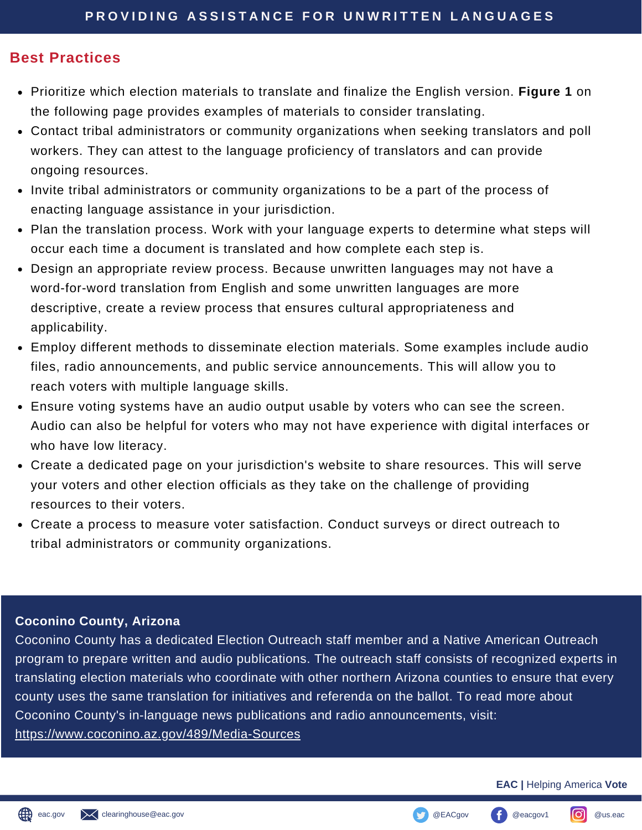## **Best Practices**

- Prioritize which election materials to translate and finalize the English version. **Figure 1** on Prioritize which election materials to translate and finalize the English ver<br>the following page provides examples of materials to consider translating.
- Contact tribal administrators or community organizations when seeking translators and poll Contact tribal administrators or community organizations when seeking translators<br>workers. They can attest to the language proficiency of translators and can provide ongoing resources.
- Invite tribal administrators or community organizations to be a part of the process of enacting language assistance in your jurisdiction.
- Plan the translation process. Work with your language experts to determine what steps will occur each time a document is translated and how complete each step is.
- Design an appropriate review process. Because unwritten languages may not have a word-for-word translation from English and some unwritten languages are more word-for-word translation from English and some unwritten languages are mor<br>descriptive, create a review process that ensures cultural appropriateness and applicability.
- Employ different methods to disseminate election materials. Some examples include audio files, radio announcements, and public service announcements. This will allow you to reach voters with multiple language skills.
- Ensure voting systems have an audio output usable by voters who can see the screen. Ensure voting systems have an audio output usable by voters who can see the screen.<br>Audio can also be helpful for voters who may not have experience with digital interfaces or who have low literacy.
- your voters and other election officials as they take on the challenge of providing resources to their voters. have<br>ate a d<br>voter:<br>vurces Create a dedicated page on your jurisdiction's website to share resources. This will serve
- Create a process to measure voter satisfaction. Conduct surveys or direct outreach to Create a process to measure voter satisfaction. (<br>tribal administrators or community organizations.

### **Coconino County, Arizona**

**Coconino County, Arizona**<br>Coconino County has a dedicated Election Outreach staff member and a Native American Outreach program to prepare written and audio publications. The outreach staff consists of recognized experts in county uses the same translation for initiatives and referenda on the ballot. To read more about Coconino County's in-language news publications and radio announcements, visit: m to<br>.ting<br>use translating election materials who coordinate with other northern Arizona counties to ensure that every <https://www.coconino.az.gov/489/Media-Sources>

#### **EAC |** Helping America **Vote**